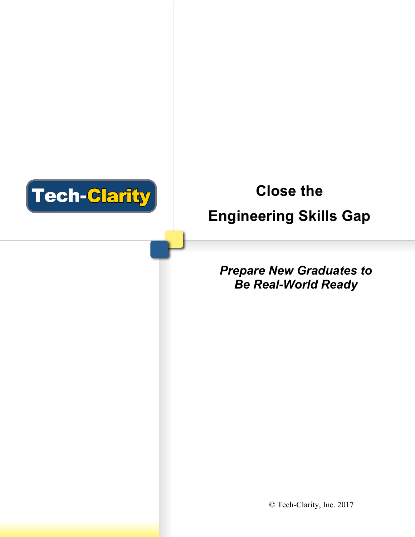

# **Close the Engineering Skills Gap**

## *Prepare New Graduates to Be Real-World Ready*

© Tech-Clarity, Inc. 2017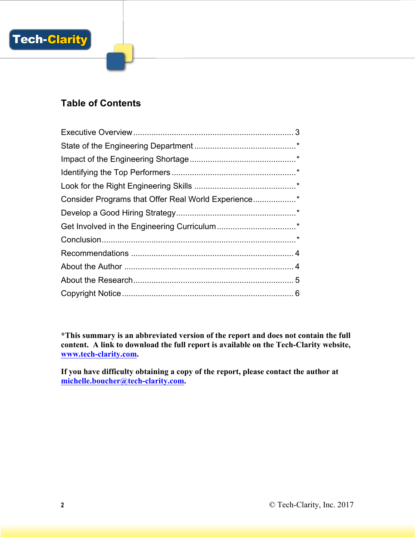

### **Table of Contents**

| Consider Programs that Offer Real World Experience* |  |
|-----------------------------------------------------|--|
|                                                     |  |
|                                                     |  |
|                                                     |  |
|                                                     |  |
|                                                     |  |
|                                                     |  |
|                                                     |  |

**\*This summary is an abbreviated version of the report and does not contain the full content. A link to download the full report is available on the Tech-Clarity website, www.tech-clarity.com.** 

**If you have difficulty obtaining a copy of the report, please contact the author at michelle.boucher@tech-clarity.com.**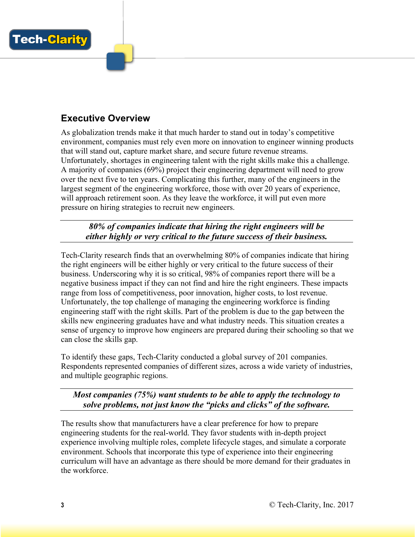

## **Executive Overview**

As globalization trends make it that much harder to stand out in today's competitive environment, companies must rely even more on innovation to engineer winning products that will stand out, capture market share, and secure future revenue streams. Unfortunately, shortages in engineering talent with the right skills make this a challenge. A majority of companies (69%) project their engineering department will need to grow over the next five to ten years. Complicating this further, many of the engineers in the largest segment of the engineering workforce, those with over 20 years of experience, will approach retirement soon. As they leave the workforce, it will put even more pressure on hiring strategies to recruit new engineers.

*80% of companies indicate that hiring the right engineers will be either highly or very critical to the future success of their business.*

Tech-Clarity research finds that an overwhelming 80% of companies indicate that hiring the right engineers will be either highly or very critical to the future success of their business. Underscoring why it is so critical, 98% of companies report there will be a negative business impact if they can not find and hire the right engineers. These impacts range from loss of competitiveness, poor innovation, higher costs, to lost revenue. Unfortunately, the top challenge of managing the engineering workforce is finding engineering staff with the right skills. Part of the problem is due to the gap between the skills new engineering graduates have and what industry needs. This situation creates a sense of urgency to improve how engineers are prepared during their schooling so that we can close the skills gap.

To identify these gaps, Tech-Clarity conducted a global survey of 201 companies. Respondents represented companies of different sizes, across a wide variety of industries, and multiple geographic regions.

*Most companies (75%) want students to be able to apply the technology to solve problems, not just know the "picks and clicks" of the software.*

The results show that manufacturers have a clear preference for how to prepare engineering students for the real-world. They favor students with in-depth project experience involving multiple roles, complete lifecycle stages, and simulate a corporate environment. Schools that incorporate this type of experience into their engineering curriculum will have an advantage as there should be more demand for their graduates in the workforce.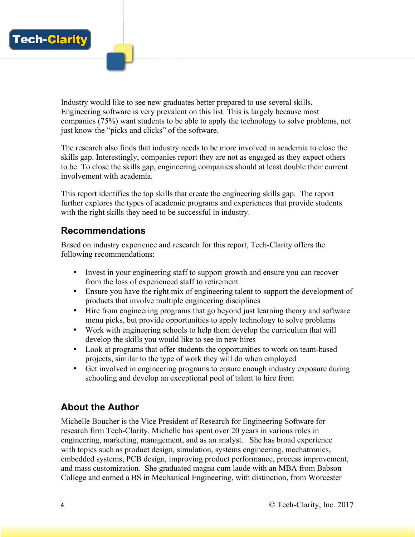

Industry would like to see new graduates better prepared to use several skills. Engineering software is very prevalent on this list. This is largely because most companies (75%) want students to be able to apply the technology to solve problems, not just know the "picks and clicks" of the software.

The research also finds that industry needs to be more involved in academia to close the skills gap. Interestingly, companies report they are not as engaged as they expect others to be. To close the skills gap, engineering companies should at least double their current involvement with academia.

This report identifies the top skills that create the engineering skills gap. The report further explores the types of academic programs and experiences that provide students with the right skills they need to be successful in industry.

#### **Recommendations**

Based on industry experience and research for this report, Tech-Clarity offers the following recommendations:

- Invest in your engineering staff to support growth and ensure you can recover from the loss of experienced staff to retirement
- Ensure you have the right mix of engineering talent to support the development of products that involve multiple engineering disciplines
- Hire from engineering programs that go beyond just learning theory and software menu picks, but provide opportunities to apply technology to solve problems
- Work with engineering schools to help them develop the curriculum that will develop the skills you would like to see in new hires
- Look at programs that offer students the opportunities to work on team-based projects, similar to the type of work they will do when employed
- Get involved in engineering programs to ensure enough industry exposure during schooling and develop an exceptional pool of talent to hire from

#### **About the Author**

Michelle Boucher is the Vice President of Research for Engineering Software for research firm Tech-Clarity. Michelle has spent over 20 years in various roles in engineering, marketing, management, and as an analyst. She has broad experience with topics such as product design, simulation, systems engineering, mechatronics, embedded systems, PCB design, improving product performance, process improvement, and mass customization. She graduated magna cum laude with an MBA from Babson College and earned a BS in Mechanical Engineering, with distinction, from Worcester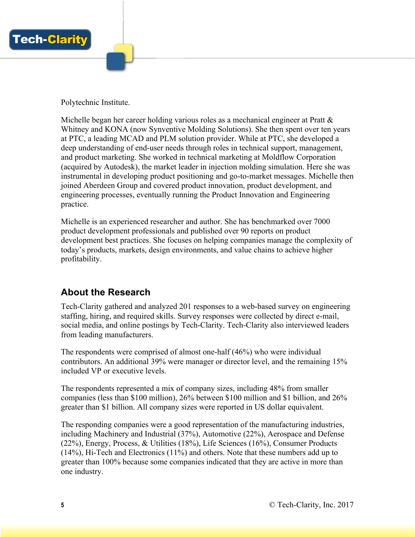

Polytechnic Institute.

Michelle began her career holding various roles as a mechanical engineer at Pratt  $\&$ Whitney and KONA (now Synventive Molding Solutions). She then spent over ten years at PTC, a leading MCAD and PLM solution provider. While at PTC, she developed a deep understanding of end-user needs through roles in technical support, management, and product marketing. She worked in technical marketing at Moldflow Corporation (acquired by Autodesk), the market leader in injection molding simulation. Here she was instrumental in developing product positioning and go-to-market messages. Michelle then joined Aberdeen Group and covered product innovation, product development, and engineering processes, eventually running the Product Innovation and Engineering practice.

Michelle is an experienced researcher and author. She has benchmarked over 7000 product development professionals and published over 90 reports on product development best practices. She focuses on helping companies manage the complexity of today's products, markets, design environments, and value chains to achieve higher profitability.

#### **About the Research**

Tech-Clarity gathered and analyzed 201 responses to a web-based survey on engineering staffing, hiring, and required skills. Survey responses were collected by direct e-mail, social media, and online postings by Tech-Clarity. Tech-Clarity also interviewed leaders from leading manufacturers.

The respondents were comprised of almost one-half (46%) who were individual contributors. An additional 39% were manager or director level, and the remaining 15% included VP or executive levels.

The respondents represented a mix of company sizes, including 48% from smaller companies (less than \$100 million), 26% between \$100 million and \$1 billion, and 26% greater than \$1 billion. All company sizes were reported in US dollar equivalent.

The responding companies were a good representation of the manufacturing industries, including Machinery and Industrial (37%), Automotive (22%), Aerospace and Defense (22%), Energy, Process, & Utilities (18%), Life Sciences (16%), Consumer Products (14%), Hi-Tech and Electronics (11%) and others. Note that these numbers add up to greater than 100% because some companies indicated that they are active in more than one industry.